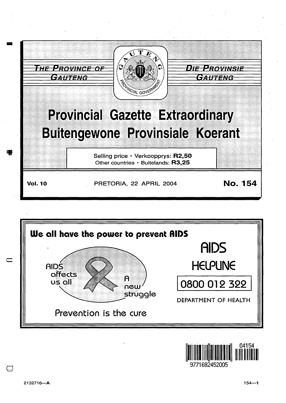





 $\Box$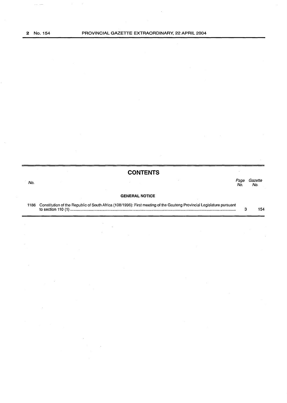$\sim 10^{11}$  and

|      | <b>CONTENTS</b>                                                                                                       |            |                |
|------|-----------------------------------------------------------------------------------------------------------------------|------------|----------------|
| No.  |                                                                                                                       | Page<br>Nο | Gazette<br>No. |
|      | <b>GENERAL NOTICE</b>                                                                                                 |            |                |
| 1186 | Constitution of the Republic of South Africa (108/1996): First meeting of the Gauteng Provincial Legislature pursuant |            | 154            |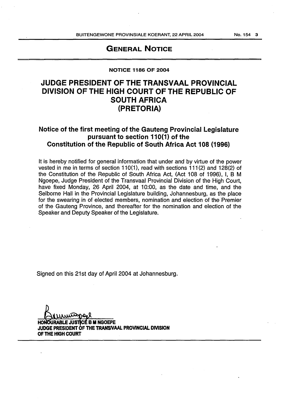## GENERAL NOTICE

## NOTICE 1186 OF 2004

## JUDGE PRESIDENT OF THE TRANSVAAL PROVINCIAL DIVISION OF THE HIGH COURT OF THE REPUBLIC OF SOUTH AFRICA (PRETORIA)

## Notice of the first meeting of the Gauteng Provincial Legislature pursuant to section  $110(1)$  of the Constitution of the Republic of South Africa Act 108 {1996)

It is hereby notified for general information that under and by virtue of the power vested in me in terms of section 110(1), read with sections 111(2) and 128(2) of the Constitution of the Republic of South Africa Act, (Act 108 of 1996), I, B M Ngoepe, Judge President of the Transvaal Provincial Division of the High Court, have fixed Monday, 26 April 2004, at 10:00, as the date and time, and the Selborne Hall in the Provincial Legislature building, Johannesburg, as the place for the swearing in of elected members, nomination and election of the Premier of the Gauteng Province, and thereafter for the nomination and election of the Speaker and Deputy Speaker of the Legislature.

Signed on this 21st day of April 2004 at Johannesburg.

HONOURABLE JUSTICE B M NGOEPE<br>JUDGE PRESIDENT OF THE TRANSIVAAL PROVINCIAL DIVISION OF THE HIGH COURT